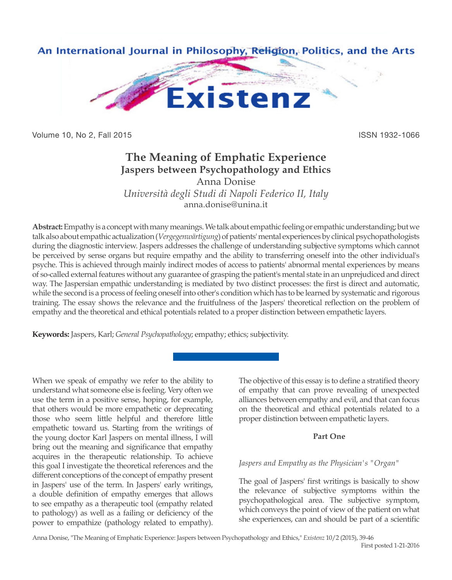

Volume 10, No 2, Fall 2015 **ISSN 1932-1066** 

# **The Meaning of Emphatic Experience Jaspers between Psychopathology and Ethics**

Anna Donise *Università degli Studi di Napoli Federico II, Italy* anna.donise@unina.it

**Abstract:** Empathy is a concept with many meanings. We talk about empathic feeling or empathic understanding; but we talk also about empathic actualization (*Vergegenwärtigung*) of patients' mental experiences by clinical psychopathologists during the diagnostic interview. Jaspers addresses the challenge of understanding subjective symptoms which cannot be perceived by sense organs but require empathy and the ability to transferring oneself into the other individual's psyche. This is achieved through mainly indirect modes of access to patients' abnormal mental experiences by means of so-called external features without any guarantee of grasping the patient's mental state in an unprejudiced and direct way. The Jaspersian empathic understanding is mediated by two distinct processes: the first is direct and automatic, while the second is a process of feeling oneself into other's condition which has to be learned by systematic and rigorous training. The essay shows the relevance and the fruitfulness of the Jaspers' theoretical reflection on the problem of empathy and the theoretical and ethical potentials related to a proper distinction between empathetic layers.

**Keywords:** Jaspers, Karl; *General Psychopathology*; empathy; ethics; subjectivity.

When we speak of empathy we refer to the ability to understand what someone else is feeling. Very often we use the term in a positive sense, hoping, for example, that others would be more empathetic or deprecating those who seem little helpful and therefore little empathetic toward us. Starting from the writings of the young doctor Karl Jaspers on mental illness, I will bring out the meaning and significance that empathy acquires in the therapeutic relationship. To achieve this goal I investigate the theoretical references and the different conceptions of the concept of empathy present in Jaspers' use of the term. In Jaspers' early writings, a double definition of empathy emerges that allows to see empathy as a therapeutic tool (empathy related to pathology) as well as a failing or deficiency of the power to empathize (pathology related to empathy).

The objective of this essay is to define a stratified theory of empathy that can prove revealing of unexpected alliances between empathy and evil, and that can focus on the theoretical and ethical potentials related to a proper distinction between empathetic layers.

# **Part One**

# *Jaspers and Empathy as the Physician's "Organ"*

The goal of Jaspers' first writings is basically to show the relevance of subjective symptoms within the psychopathological area. The subjective symptom, which conveys the point of view of the patient on what she experiences, can and should be part of a scientific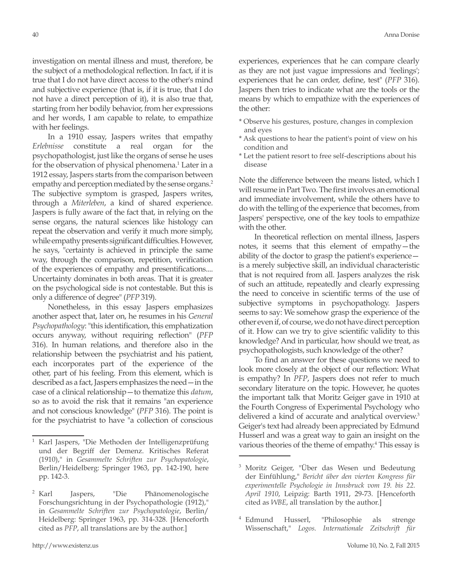investigation on mental illness and must, therefore, be the subject of a methodological reflection. In fact, if it is true that I do not have direct access to the other's mind and subjective experience (that is, if it is true, that I do not have a direct perception of it), it is also true that, starting from her bodily behavior, from her expressions and her words, I am capable to relate, to empathize with her feelings.

In a 1910 essay, Jaspers writes that empathy *Erlebnisse* constitute a real organ for the psychopathologist, just like the organs of sense he uses for the observation of physical phenomena.<sup>1</sup> Later in a 1912 essay, Jaspers starts from the comparison between empathy and perception mediated by the sense organs.<sup>2</sup> The subjective symptom is grasped, Jaspers writes, through a *Miterleben*, a kind of shared experience. Jaspers is fully aware of the fact that, in relying on the sense organs, the natural sciences like histology can repeat the observation and verify it much more simply, while empathy presents significant difficulties. However, he says, "certainty is achieved in principle the same way, through the comparison, repetition, verification of the experiences of empathy and presentifications.... Uncertainty dominates in both areas. That it is greater on the psychological side is not contestable. But this is only a difference of degree" (*PFP* 319).

Nonetheless, in this essay Jaspers emphasizes another aspect that, later on, he resumes in his *General Psychopathology*: "this identification, this emphatization occurs anyway, without requiring reflection" (*PFP* 316). In human relations, and therefore also in the relationship between the psychiatrist and his patient, each incorporates part of the experience of the other, part of his feeling. From this element, which is described as a fact, Jaspers emphasizes the need—in the case of a clinical relationship—to thematize this *datum*, so as to avoid the risk that it remains "an experience and not conscious knowledge" (*PFP* 316). The point is for the psychiatrist to have "a collection of conscious

experiences, experiences that he can compare clearly as they are not just vague impressions and 'feelings'; experiences that he can order, define, test" (*PFP* 316). Jaspers then tries to indicate what are the tools or the means by which to empathize with the experiences of the other:

- \* Observe his gestures, posture, changes in complexion and eyes
- \* Ask questions to hear the patient's point of view on his condition and
- \* Let the patient resort to free self-descriptions about his disease

Note the difference between the means listed, which I will resume in Part Two. The first involves an emotional and immediate involvement, while the others have to do with the telling of the experience that becomes, from Jaspers' perspective, one of the key tools to empathize with the other.

In theoretical reflection on mental illness, Jaspers notes, it seems that this element of empathy—the ability of the doctor to grasp the patient's experience is a merely subjective skill, an individual characteristic that is not required from all. Jaspers analyzes the risk of such an attitude, repeatedly and clearly expressing the need to conceive in scientific terms of the use of subjective symptoms in psychopathology. Jaspers seems to say: We somehow grasp the experience of the other even if, of course, we do not have direct perception of it. How can we try to give scientific validity to this knowledge? And in particular, how should we treat, as psychopathologists, such knowledge of the other?

To find an answer for these questions we need to look more closely at the object of our reflection: What is empathy? In *PFP*, Jaspers does not refer to much secondary literature on the topic. However, he quotes the important talk that Moritz Geiger gave in 1910 at the Fourth Congress of Experimental Psychology who delivered a kind of accurate and analytical overview.<sup>3</sup> Geiger's text had already been appreciated by Edmund Husserl and was a great way to gain an insight on the various theories of the theme of empathy.<sup>4</sup> This essay is

<sup>4</sup> Edmund Husserl, "Philosophie als strenge Wissenschaft," *Logos. Internationale Zeitschrift für* 

<sup>1</sup> Karl Jaspers, "Die Methoden der Intelligenzprüfung und der Begriff der Demenz. Kritisches Referat (1910)," in *Gesammelte Schriften zur Psychopatologie*, Berlin/Heidelberg: Springer 1963, pp. 142-190, here pp. 142-3.

<sup>&</sup>lt;sup>2</sup> Karl Jaspers, "Die Phänomenologische Forschungsrichtung in der Psychopathologie (1912)," in *Gesammelte Schriften zur Psychopatologie*, Berlin/ Heidelberg: Springer 1963, pp. 314-328. [Henceforth cited as *PFP*, all translations are by the author.]

<sup>&</sup>lt;sup>3</sup> Moritz Geiger, "Über das Wesen und Bedeutung der Einfühlung," *Bericht über den vierten Kongress für experimentelle Psychologie in Innsbruck vom 19. bis 22. April 1910*, Leipzig: Barth 1911, 29-73. [Henceforth cited as *WBE*, all translation by the author.]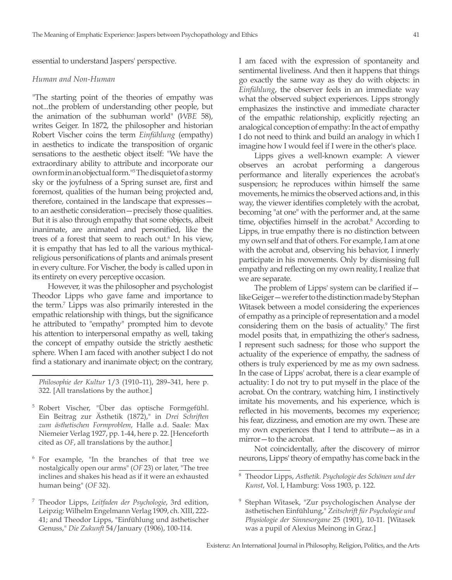essential to understand Jaspers' perspective.

#### *Human and Non-Human*

"The starting point of the theories of empathy was not...the problem of understanding other people, but the animation of the subhuman world" (*WBE* 58), writes Geiger. In 1872, the philosopher and historian Robert Vischer coins the term *Einfühlung* (empathy) in aesthetics to indicate the transposition of organic sensations to the aesthetic object itself: "We have the extraordinary ability to attribute and incorporate our own form in an objectual form."<sup>5</sup> The disquiet of a stormy sky or the joyfulness of a Spring sunset are, first and foremost, qualities of the human being projected and, therefore, contained in the landscape that expresses to an aesthetic consideration—precisely those qualities. But it is also through empathy that some objects, albeit inanimate, are animated and personified, like the trees of a forest that seem to reach out.<sup>6</sup> In his view, it is empathy that has led to all the various mythicalreligious personifications of plants and animals present in every culture. For Vischer, the body is called upon in its entirety on every perceptive occasion.

However, it was the philosopher and psychologist Theodor Lipps who gave fame and importance to the term.<sup>7</sup> Lipps was also primarily interested in the empathic relationship with things, but the significance he attributed to "empathy" prompted him to devote his attention to interpersonal empathy as well, taking the concept of empathy outside the strictly aesthetic sphere. When I am faced with another subject I do not find a stationary and inanimate object; on the contrary,

- <sup>5</sup> Robert Vischer, "Über das optische Formgefühl. Ein Beitrag zur Ästhetik (1872)," in *Drei Schriften zum ästhetischen Formproblem*, Halle a.d. Saale: Max Niemeier Verlag 1927, pp. 1-44, here p. 22. [Henceforth cited as *OF*, all translations by the author.]
- <sup>6</sup> For example, "In the branches of that tree we nostalgically open our arms" (*OF* 23) or later, "The tree inclines and shakes his head as if it were an exhausted human being" (*OF* 32).
- <sup>7</sup> Theodor Lipps, *Leitfaden der Psychologie*, 3rd edition, Leipzig: Wilhelm Engelmann Verlag 1909, ch. XIII, 222- 41; and Theodor Lipps, "Einfühlung und ästhetischer Genuss," *Die Zukunft* 54/January (1906), 100-114.

I am faced with the expression of spontaneity and sentimental liveliness. And then it happens that things go exactly the same way as they do with objects: in *Einfühlung*, the observer feels in an immediate way what the observed subject experiences. Lipps strongly emphasizes the instinctive and immediate character of the empathic relationship, explicitly rejecting an analogical conception of empathy: In the act of empathy I do not need to think and build an analogy in which I imagine how I would feel if I were in the other's place.

Lipps gives a well-known example: A viewer observes an acrobat performing a dangerous performance and literally experiences the acrobat's suspension; he reproduces within himself the same movements, he mimics the observed actions and, in this way, the viewer identifies completely with the acrobat, becoming "at one" with the performer and, at the same time, objectifies himself in the acrobat.<sup>8</sup> According to Lipps, in true empathy there is no distinction between my own self and that of others. For example, I am at one with the acrobat and, observing his behavior, I innerly participate in his movements. Only by dismissing full empathy and reflecting on my own reality, I realize that we are separate.

The problem of Lipps' system can be clarified if like Geiger—we refer to the distinction made by Stephan Witasek between a model considering the experiences of empathy as a principle of representation and a model considering them on the basis of actuality.<sup>9</sup> The first model posits that, in empathizing the other's sadness, I represent such sadness; for those who support the actuality of the experience of empathy, the sadness of others is truly experienced by me as my own sadness. In the case of Lipps' acrobat, there is a clear example of actuality: I do not try to put myself in the place of the acrobat. On the contrary, watching him, I instinctively imitate his movements, and his experience, which is reflected in his movements, becomes my experience; his fear, dizziness, and emotion are my own. These are my own experiences that I tend to attribute—as in a mirror—to the acrobat.

Not coincidentally, after the discovery of mirror neurons, Lipps' theory of empathy has come back in the

*Philosophie der Kultur* 1/3 (1910–11), 289–341, here p. 322. [All translations by the author.]

<sup>8</sup> Theodor Lipps, *Asthetik. Psychologie des Schönen und der Kunst*, Vol. I, Hamburg: Voss 1903, p. 122.

<sup>9</sup> Stephan Witasek, "Zur psychologischen Analyse der ästhetischen Einfühlung," *Zeitschrift für Psychologie und Physiologie der Sinnesorgane* 25 (1901), 10-11. [Witasek was a pupil of Alexius Meinong in Graz.]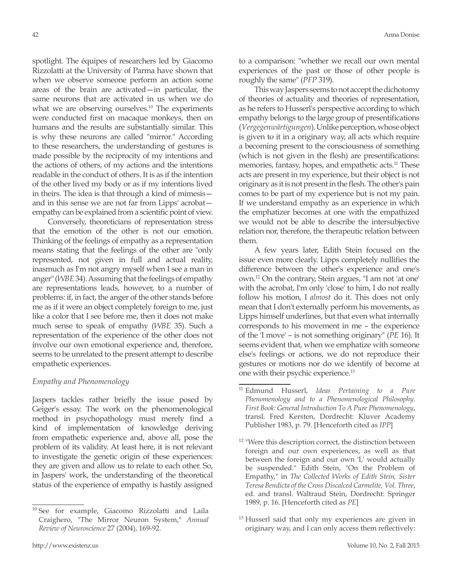spotlight. The équipes of researchers led by Giacomo Rizzolatti at the University of Parma have shown that when we observe someone perform an action some areas of the brain are activated—in particular, the same neurons that are activated in us when we do what we are observing ourselves.<sup>10</sup> The experiments were conducted first on macaque monkeys, then on humans and the results are substantially similar. This is why these neurons are called "mirror." According to these researchers, the understanding of gestures is made possible by the reciprocity of my intentions and the actions of others, of my actions and the intentions readable in the conduct of others. It is as if the intention of the other lived my body or as if my intentions lived in theirs. The idea is that through a kind of mimesis and in this sense we are not far from Lipps' acrobat empathy can be explained from a scientific point of view.

Conversely, theoreticians of representation stress that the emotion of the other is not our emotion. Thinking of the feelings of empathy as a representation means stating that the feelings of the other are "only represented, not given in full and actual reality, inasmuch as I'm not angry myself when I see a man in anger" (*WBE* 34). Assuming that the feelings of empathy are representations leads, however, to a number of problems: if, in fact, the anger of the other stands before me as if it were an object completely foreign to me, just like a color that I see before me, then it does not make much sense to speak of empathy (*WBE* 35). Such a representation of the experience of the other does not involve our own emotional experience and, therefore, seems to be unrelated to the present attempt to describe empathetic experiences.

## *Empathy and Phenomenology*

Jaspers tackles rather briefly the issue posed by Geiger's essay. The work on the phenomenological method in psychopathology must merely find a kind of implementation of knowledge deriving from empathetic experience and, above all, pose the problem of its validity. At least here, it is not relevant to investigate the genetic origin of these experiences: they are given and allow us to relate to each other. So, in Jaspers' work, the understanding of the theoretical status of the experience of empathy is hastily assigned

to a comparison: "whether we recall our own mental experiences of the past or those of other people is roughly the same" (*PFP* 319).

This way Jaspers seems to not accept the dichotomy of theories of actuality and theories of representation, as he refers to Husserl's perspective according to which empathy belongs to the large group of presentifications (*Vergegenwärtigungen*). Unlike perception, whose object is given to it in a originary way, all acts which require a becoming present to the consciousness of something (which is not given in the flesh) are presentifications: memories, fantasy, hopes, and empathetic acts.<sup>11</sup> These acts are present in my experience, but their object is not originary as it is not present in the flesh. The other's pain comes to be part of my experience but is not my pain. If we understand empathy as an experience in which the emphatizer becomes at one with the empathized we would not be able to describe the intersubjective relation nor, therefore, the therapeutic relation between them.

A few years later, Edith Stein focused on the issue even more clearly. Lipps completely nullifies the difference between the other's experience and one's own.12 On the contrary, Stein argues, "I am not 'at one' with the acrobat, I'm only 'close' to him, I do not really follow his motion, I *almost* do it. This does not only mean that I don't externally perform his movements, as Lipps himself underlines, but that even what internally corresponds to his movement in me – the experience of the 'I move' – is not something originary" (*PE* 16). It seems evident that, when we emphatize with someone else's feelings or actions, we do not reproduce their gestures or motions nor do we identify of become at one with their psychic experience.13

<sup>&</sup>lt;sup>10</sup> See for example, Giacomo Rizzolatti and Laila Craighero, "The Mirror Neuron System," *Annual Review of Neuroscience* 27 (2004), 169-92.

<sup>11</sup> Edmund Husserl, *Ideas Pertaining to a Pure Phenomenology and to a Phenomenological Philosophy. First Book: General Introduction To A Pure Phenomenology*, transl. Fred Kersten, Dordrecht: Kluver Academy Publisher 1983, p. 79. [Henceforth cited as *IPP*]

<sup>&</sup>lt;sup>12</sup> "Were this description correct, the distinction between foreign and our own experiences, as well as that between the foreign and our own 'I,' would actually be suspended." Edith Stein, "On the Problem of Empathy," in *The Collected Works of Edith Stein, Sister Teresa Bendicta of the Cross Discalced Carmelite, Vol. Three*, ed. and transl. Waltraud Stein, Dordrecht: Springer 1989, p. 16. [Henceforth cited as *PE*]

<sup>&</sup>lt;sup>13</sup> Husserl said that only my experiences are given in originary way, and I can only access them reflectively: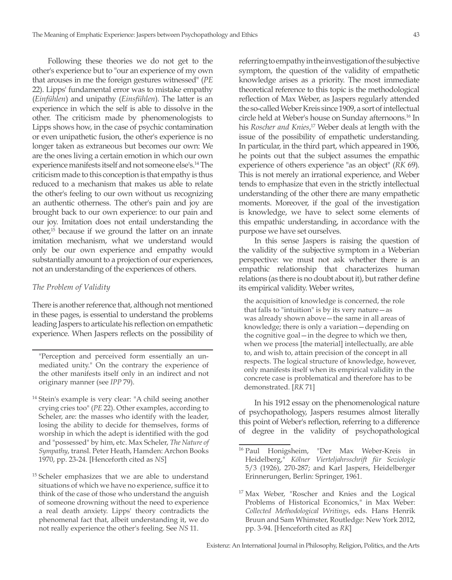Following these theories we do not get to the other's experience but to "our an experience of my own that arouses in me the foreign gestures witnessed" (*PE* 22). Lipps' fundamental error was to mistake empathy (*Einfühlen*) and unipathy (*Einsfühlen*). The latter is an experience in which the self is able to dissolve in the other. The criticism made by phenomenologists to Lipps shows how, in the case of psychic contamination or even unipathetic fusion, the other's experience is no longer taken as extraneous but becomes our own: We are the ones living a certain emotion in which our own experience manifests itself and not someone else's.14 The criticism made to this conception is that empathy is thus reduced to a mechanism that makes us able to relate the other's feeling to our own without us recognizing an authentic otherness. The other's pain and joy are brought back to our own experience: to our pain and our joy. Imitation does not entail understanding the other,15 because if we ground the latter on an innate imitation mechanism, what we understand would only be our own experience and empathy would substantially amount to a projection of our experiences, not an understanding of the experiences of others.

#### *The Problem of Validity*

There is another reference that, although not mentioned in these pages, is essential to understand the problems leading Jaspers to articulate his reflection on empathetic experience. When Jaspers reflects on the possibility of

"Perception and perceived form essentially an unmediated unity." On the contrary the experience of the other manifests itself only in an indirect and not originary manner (see *IPP* 79).

- <sup>14</sup> Stein's example is very clear: "A child seeing another crying cries too" (*PE* 22). Other examples, according to Scheler, are: the masses who identify with the leader, losing the ability to decide for themselves, forms of worship in which the adept is identified with the god and "possessed" by him, etc. Max Scheler, *The Nature of Sympathy*, transl. Peter Heath, Hamden: Archon Books 1970, pp. 23-24. [Henceforth cited as *NS*]
- <sup>15</sup> Scheler emphasizes that we are able to understand situations of which we have no experience, suffice it to think of the case of those who understand the anguish of someone drowning without the need to experience a real death anxiety. Lipps' theory contradicts the phenomenal fact that, albeit understanding it, we do not really experience the other's feeling. See *NS* 11.

referring to empathy in the investigation of the subjective symptom, the question of the validity of empathetic knowledge arises as a priority. The most immediate theoretical reference to this topic is the methodological reflection of Max Weber, as Jaspers regularly attended the so-called Weber Kreis since 1909, a sort of intellectual circle held at Weber's house on Sunday afternoons.16 In his *Roscher and Knies*, <sup>17</sup> Weber deals at length with the issue of the possibility of empathetic understanding. In particular, in the third part, which appeared in 1906, he points out that the subject assumes the empathic experience of others experience "as an object" (*RK* 69). This is not merely an irrational experience, and Weber tends to emphasize that even in the strictly intellectual understanding of the other there are many empathetic moments. Moreover, if the goal of the investigation is knowledge, we have to select some elements of this empathic understanding, in accordance with the purpose we have set ourselves.

In this sense Jaspers is raising the question of the validity of the subjective symptom in a Weberian perspective: we must not ask whether there is an empathic relationship that characterizes human relations (as there is no doubt about it), but rather define its empirical validity. Weber writes,

the acquisition of knowledge is concerned, the role that falls to "intuition" is by its very nature—as was already shown above—the same in all areas of knowledge; there is only a variation—depending on the cognitive goal—in the degree to which we then, when we process [the material] intellectually, are able to, and wish to, attain precision of the concept in all respects. The logical structure of knowledge, however, only manifests itself when its empirical validity in the concrete case is problematical and therefore has to be demonstrated. [*RK* 71]

In his 1912 essay on the phenomenological nature of psychopathology, Jaspers resumes almost literally this point of Weber's reflection, referring to a difference of degree in the validity of psychopathological

<sup>16</sup> Paul Honigsheim, "Der Max Weber-Kreis in Heidelberg," *Kölner Vierteljahrsschrift für Soziologie* 5/3 (1926), 270-287; and Karl Jaspers, Heidelberger Erinnerungen, Berlin: Springer, 1961.

<sup>&</sup>lt;sup>17</sup> Max Weber, "Roscher and Knies and the Logical Problems of Historical Economics," in Max Weber: *Collected Methodological Writings*, eds. Hans Henrik Bruun and Sam Whimster, Routledge: New York 2012, pp. 3-94. [Henceforth cited as *RK*]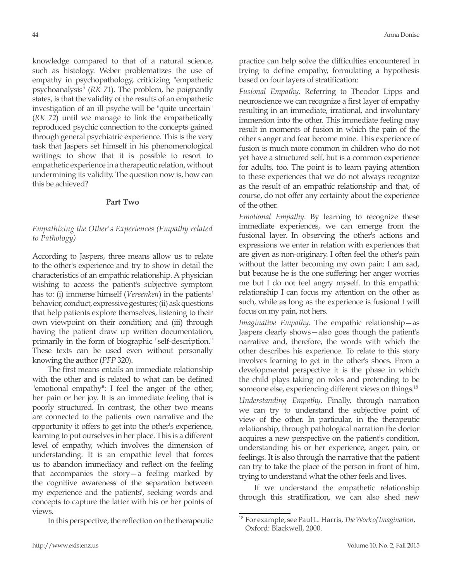knowledge compared to that of a natural science, such as histology. Weber problematizes the use of empathy in psychopathology, criticizing "empathetic psychoanalysis" (*RK* 71). The problem, he poignantly states, is that the validity of the results of an empathetic investigation of an ill psyche will be "quite uncertain" (*RK* 72) until we manage to link the empathetically reproduced psychic connection to the concepts gained through general psychiatric experience. This is the very task that Jaspers set himself in his phenomenological writings: to show that it is possible to resort to empathetic experience in a therapeutic relation, without undermining its validity. The question now is, how can this be achieved?

#### **Part Two**

## *Empathizing the Other's Experiences (Empathy related to Pathology)*

According to Jaspers, three means allow us to relate to the other's experience and try to show in detail the characteristics of an empathic relationship. A physician wishing to access the patient's subjective symptom has to: (i) immerse himself (*Versenken*) in the patients' behavior, conduct, expressive gestures; (ii) ask questions that help patients explore themselves, listening to their own viewpoint on their condition; and (iii) through having the patient draw up written documentation, primarily in the form of biographic "self-description." These texts can be used even without personally knowing the author (*PFP* 320).

The first means entails an immediate relationship with the other and is related to what can be defined "emotional empathy": I feel the anger of the other, her pain or her joy. It is an immediate feeling that is poorly structured. In contrast, the other two means are connected to the patients' own narrative and the opportunity it offers to get into the other's experience, learning to put ourselves in her place. This is a different level of empathy, which involves the dimension of understanding. It is an empathic level that forces us to abandon immediacy and reflect on the feeling that accompanies the story—a feeling marked by the cognitive awareness of the separation between my experience and the patients', seeking words and concepts to capture the latter with his or her points of views.

In this perspective, the reflection on the therapeutic

practice can help solve the difficulties encountered in trying to define empathy, formulating a hypothesis based on four layers of stratification:

*Fusional Empathy*. Referring to Theodor Lipps and neuroscience we can recognize a first layer of empathy resulting in an immediate, irrational, and involuntary immersion into the other. This immediate feeling may result in moments of fusion in which the pain of the other's anger and fear become mine. This experience of fusion is much more common in children who do not yet have a structured self, but is a common experience for adults, too. The point is to learn paying attention to these experiences that we do not always recognize as the result of an empathic relationship and that, of course, do not offer any certainty about the experience of the other.

*Emotional Empathy*. By learning to recognize these immediate experiences, we can emerge from the fusional layer. In observing the other's actions and expressions we enter in relation with experiences that are given as non-originary. I often feel the other's pain without the latter becoming my own pain: I am sad, but because he is the one suffering; her anger worries me but I do not feel angry myself. In this empathic relationship I can focus my attention on the other as such, while as long as the experience is fusional I will focus on my pain, not hers.

*Imaginative Empathy*. The empathic relationship—as Jaspers clearly shows—also goes though the patient's narrative and, therefore, the words with which the other describes his experience. To relate to this story involves learning to get in the other's shoes. From a developmental perspective it is the phase in which the child plays taking on roles and pretending to be someone else, experiencing different views on things.<sup>18</sup>

*Understanding Empathy*. Finally, through narration we can try to understand the subjective point of view of the other. In particular, in the therapeutic relationship, through pathological narration the doctor acquires a new perspective on the patient's condition, understanding his or her experience, anger, pain, or feelings. It is also through the narrative that the patient can try to take the place of the person in front of him, trying to understand what the other feels and lives.

If we understand the empathetic relationship through this stratification, we can also shed new

<sup>18</sup> For example, see Paul L. Harris, *The Work of Imagination*, Oxford: Blackwell, 2000.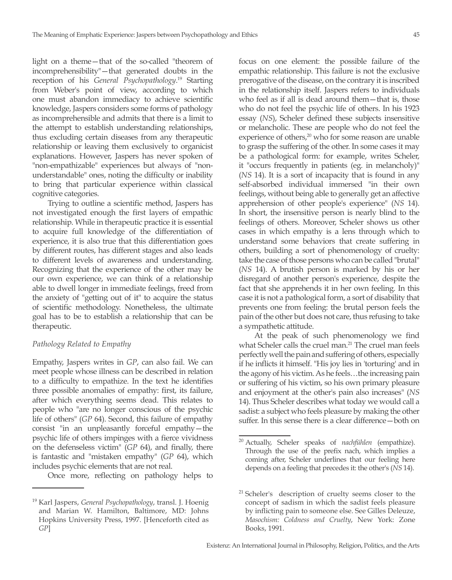light on a theme—that of the so-called "theorem of incomprehensibility"—that generated doubts in the reception of his *General Psychopathology*. 19 Starting from Weber's point of view, according to which one must abandon immediacy to achieve scientific knowledge, Jaspers considers some forms of pathology as incomprehensible and admits that there is a limit to the attempt to establish understanding relationships, thus excluding certain diseases from any therapeutic relationship or leaving them exclusively to organicist explanations. However, Jaspers has never spoken of "non-empathizable" experiences but always of "nonunderstandable" ones, noting the difficulty or inability to bring that particular experience within classical cognitive categories.

Trying to outline a scientific method, Jaspers has not investigated enough the first layers of empathic relationship. While in therapeutic practice it is essential to acquire full knowledge of the differentiation of experience, it is also true that this differentiation goes by different routes, has different stages and also leads to different levels of awareness and understanding. Recognizing that the experience of the other may be our own experience, we can think of a relationship able to dwell longer in immediate feelings, freed from the anxiety of "getting out of it" to acquire the status of scientific methodology. Nonetheless, the ultimate goal has to be to establish a relationship that can be therapeutic.

## *Pathology Related to Empathy*

Empathy, Jaspers writes in *GP*, can also fail. We can meet people whose illness can be described in relation to a difficulty to empathize. In the text he identifies three possible anomalies of empathy: first, its failure, after which everything seems dead. This relates to people who "are no longer conscious of the psychic life of others" (*GP* 64). Second, this failure of empathy consist "in an unpleasantly forceful empathy—the psychic life of others impinges with a fierce vividness on the defenseless victim" (*GP* 64), and finally, there is fantastic and "mistaken empathy" (*GP* 64), which includes psychic elements that are not real.

Once more, reflecting on pathology helps to

focus on one element: the possible failure of the empathic relationship. This failure is not the exclusive prerogative of the disease, on the contrary it is inscribed in the relationship itself. Jaspers refers to individuals who feel as if all is dead around them—that is, those who do not feel the psychic life of others. In his 1923 essay (*NS*), Scheler defined these subjects insensitive or melancholic. These are people who do not feel the experience of others, $20$  who for some reason are unable to grasp the suffering of the other. In some cases it may be a pathological form: for example, writes Scheler, it "occurs frequently in patients (eg. in melancholy)" (*NS* 14). It is a sort of incapacity that is found in any self-absorbed individual immersed "in their own feelings, without being able to generally get an affective apprehension of other people's experience" (*NS* 14). In short, the insensitive person is nearly blind to the feelings of others. Moreover, Scheler shows us other cases in which empathy is a lens through which to understand some behaviors that create suffering in others, building a sort of phenomenology of cruelty: take the case of those persons who can be called "brutal" (*NS* 14). A brutish person is marked by his or her disregard of another person's experience, despite the fact that she apprehends it in her own feeling. In this case it is not a pathological form, a sort of disability that prevents one from feeling: the brutal person feels the pain of the other but does not care, thus refusing to take a sympathetic attitude.

At the peak of such phenomenology we find what Scheler calls the cruel man.<sup>21</sup> The cruel man feels perfectly well the pain and suffering of others, especially if he inflicts it himself. "His joy lies in 'torturing' and in the agony of his victim. As he feels…the increasing pain or suffering of his victim, so his own primary pleasure and enjoyment at the other's pain also increases" (*NS* 14). Thus Scheler describes what today we would call a sadist: a subject who feels pleasure by making the other suffer. In this sense there is a clear difference—both on

<sup>19</sup> Karl Jaspers, *General Psychopathology*, transl. J. Hoenig and Marian W. Hamilton, Baltimore, MD: Johns Hopkins University Press, 1997. [Henceforth cited as *GP*]

<sup>20</sup> Actually, Scheler speaks of *nachfühlen* (empathize). Through the use of the prefix nach, which implies a coming after, Scheler underlines that our feeling here depends on a feeling that precedes it: the other's (*NS* 14).

<sup>&</sup>lt;sup>21</sup> Scheler's description of cruelty seems closer to the concept of sadism in which the sadist feels pleasure by inflicting pain to someone else. See Gilles Deleuze, *Masochism: Coldness and Cruelty*, New York: Zone Books, 1991.